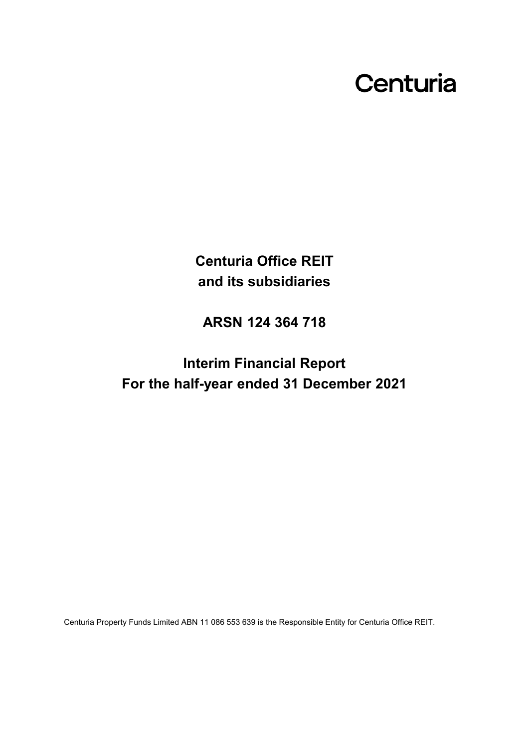## Centuria

**Centuria Office REIT and its subsidiaries**

**ARSN 124 364 718**

**Interim Financial Report For the half-year ended 31 December 2021**

Centuria Property Funds Limited ABN 11 086 553 639 is the Responsible Entity for Centuria Office REIT.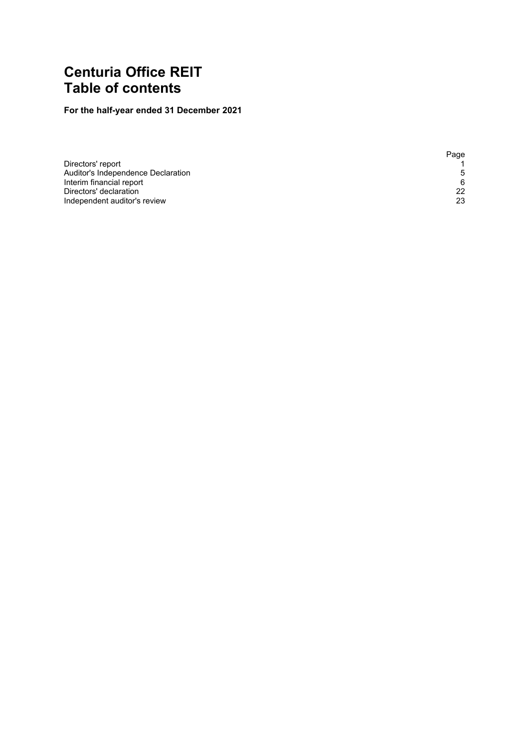### **Centuria Office REIT Table of contents**

### **For the half-year ended 31 December 2021**

|                                    | Page |
|------------------------------------|------|
| Directors' report                  |      |
| Auditor's Independence Declaration | .5   |
| Interim financial report           | 6    |
| Directors' declaration             | 22   |
| Independent auditor's review       | 23   |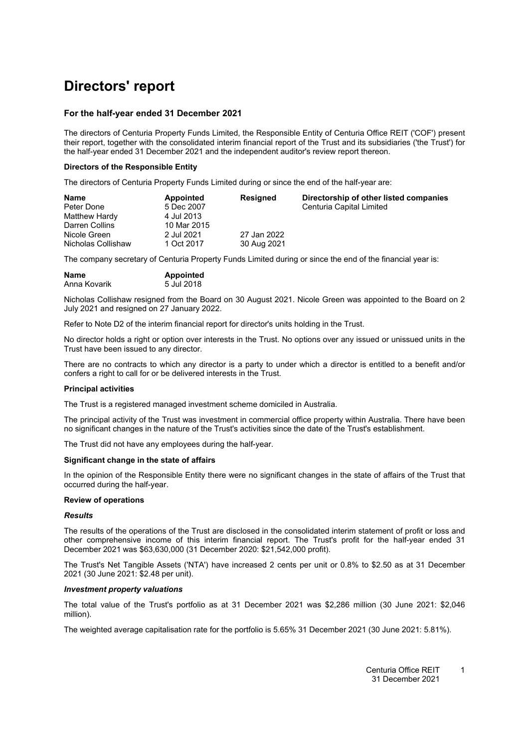### <span id="page-2-0"></span>**Directors' report**

### **For the half-year ended 31 December 2021**

The directors of Centuria Property Funds Limited, the Responsible Entity of Centuria Office REIT ('COF') present their report, together with the consolidated interim financial report of the Trust and its subsidiaries ('the Trust') for the half-year ended 31 December 2021 and the independent auditor's review report thereon.

### **Directors of the Responsible Entity**

The directors of Centuria Property Funds Limited during or since the end of the half-year are:

| <b>Name</b>        | Appointed   | <b>Resigned</b> | Directorship of other listed companies |
|--------------------|-------------|-----------------|----------------------------------------|
| Peter Done         | 5 Dec 2007  |                 | Centuria Capital Limited               |
| Matthew Hardy      | 4 Jul 2013  |                 |                                        |
| Darren Collins     | 10 Mar 2015 |                 |                                        |
| Nicole Green       | 2 Jul 2021  | 27 Jan 2022     |                                        |
| Nicholas Collishaw | 1 Oct 2017  | 30 Aug 2021     |                                        |

The company secretary of Centuria Property Funds Limited during or since the end of the financial year is:

| <b>Name</b>  | <b>Appointed</b> |
|--------------|------------------|
| Anna Kovarik | 5 Jul 2018       |

Nicholas Collishaw resigned from the Board on 30 August 2021. Nicole Green was appointed to the Board on 2 July 2021 and resigned on 27 January 2022.

Refer to Note D2 of the interim financial report for director's units holding in the Trust.

No director holds a right or option over interests in the Trust. No options over any issued or unissued units in the Trust have been issued to any director.

There are no contracts to which any director is a party to under which a director is entitled to a benefit and/or confers a right to call for or be delivered interests in the Trust.

### **Principal activities**

The Trust is a registered managed investment scheme domiciled in Australia.

The principal activity of the Trust was investment in commercial office property within Australia. There have been no significant changes in the nature of the Trust's activities since the date of the Trust's establishment.

The Trust did not have any employees during the half-year.

### **Significant change in the state of affairs**

In the opinion of the Responsible Entity there were no significant changes in the state of affairs of the Trust that occurred during the half-year.

### **Review of operations**

### *Results*

The results of the operations of the Trust are disclosed in the consolidated interim statement of profit or loss and other comprehensive income of this interim financial report. The Trust's profit for the half-year ended 31 December 2021 was \$63,630,000 (31 December 2020: \$21,542,000 profit).

The Trust's Net Tangible Assets ('NTA') have increased 2 cents per unit or 0.8% to \$2.50 as at 31 December 2021 (30 June 2021: \$2.48 per unit).

### *Investment property valuations*

The total value of the Trust's portfolio as at 31 December 2021 was \$2,286 million (30 June 2021: \$2,046 million).

The weighted average capitalisation rate for the portfolio is 5.65% 31 December 2021 (30 June 2021: 5.81%).

Centuria Office REIT 31 December 2021 1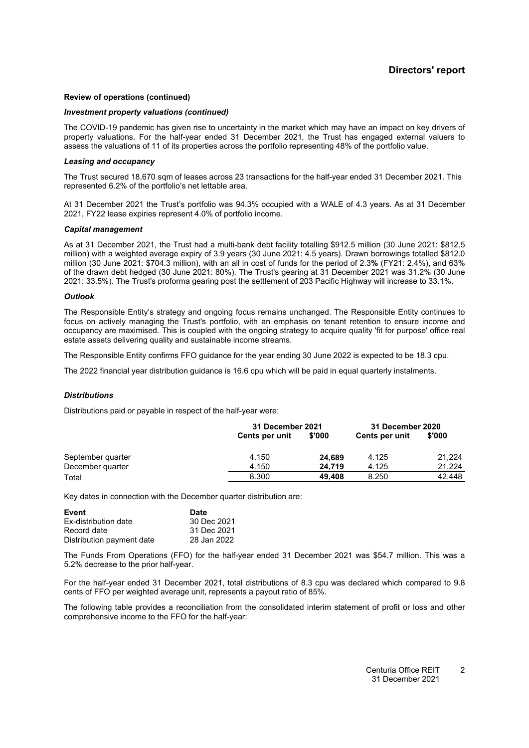#### **Review of operations (continued)**

#### *Investment property valuations (continued)*

The COVID-19 pandemic has given rise to uncertainty in the market which may have an impact on key drivers of property valuations. For the half-year ended 31 December 2021, the Trust has engaged external valuers to assess the valuations of 11 of its properties across the portfolio representing 48% of the portfolio value.

#### *Leasing and occupancy*

The Trust secured 18,670 sqm of leases across 23 transactions for the half-year ended 31 December 2021. This represented 6.2% of the portfolio's net lettable area.

At 31 December 2021 the Trust's portfolio was 94.3% occupied with a WALE of 4.3 years. As at 31 December 2021, FY22 lease expiries represent 4.0% of portfolio income.

#### *Capital management*

As at 31 December 2021, the Trust had a multi-bank debt facility totalling \$912.5 million (30 June 2021: \$812.5 million) with a weighted average expiry of 3.9 years (30 June 2021: 4.5 years). Drawn borrowings totalled \$812.0 million (30 June 2021: \$704.3 million), with an all in cost of funds for the period of 2.3**%** (FY21: 2.4%), and 63% of the drawn debt hedged (30 June 2021: 80%). The Trust's gearing at 31 December 2021 was 31.2% (30 June 2021: 33.5%). The Trust's proforma gearing post the settlement of 203 Pacific Highway will increase to 33.1%.

#### *Outlook*

The Responsible Entity's strategy and ongoing focus remains unchanged. The Responsible Entity continues to focus on actively managing the Trust's portfolio, with an emphasis on tenant retention to ensure income and occupancy are maximised. This is coupled with the ongoing strategy to acquire quality 'fit for purpose' office real estate assets delivering quality and sustainable income streams.

The Responsible Entity confirms FFO guidance for the year ending 30 June 2022 is expected to be 18.3 cpu.

The 2022 financial year distribution guidance is 16.6 cpu which will be paid in equal quarterly instalments.

#### *Distributions*

Distributions paid or payable in respect of the half-year were:

|                   |                       | 31 December 2021 |                | 31 December 2020 |
|-------------------|-----------------------|------------------|----------------|------------------|
|                   | <b>Cents per unit</b> | \$'000           | Cents per unit | \$'000           |
| September quarter | 4.150                 | 24.689           | 4.125          | 21.224           |
| December quarter  | 4.150                 | 24.719           | 4.125          | 21.224           |
| Total             | 8.300                 | 49.408           | 8.250          | 42.448           |

Key dates in connection with the December quarter distribution are:

| Event                     | <b>Date</b> |
|---------------------------|-------------|
| Ex-distribution date      | 30 Dec 2021 |
| Record date               | 31 Dec 2021 |
| Distribution payment date | 28 Jan 2022 |

The Funds From Operations (FFO) for the half-year ended 31 December 2021 was \$54.7 million. This was a 5.2% decrease to the prior half-year.

For the half-year ended 31 December 2021, total distributions of 8.3 cpu was declared which compared to 9.8 cents of FFO per weighted average unit, represents a payout ratio of 85%.

The following table provides a reconciliation from the consolidated interim statement of profit or loss and other comprehensive income to the FFO for the half-year: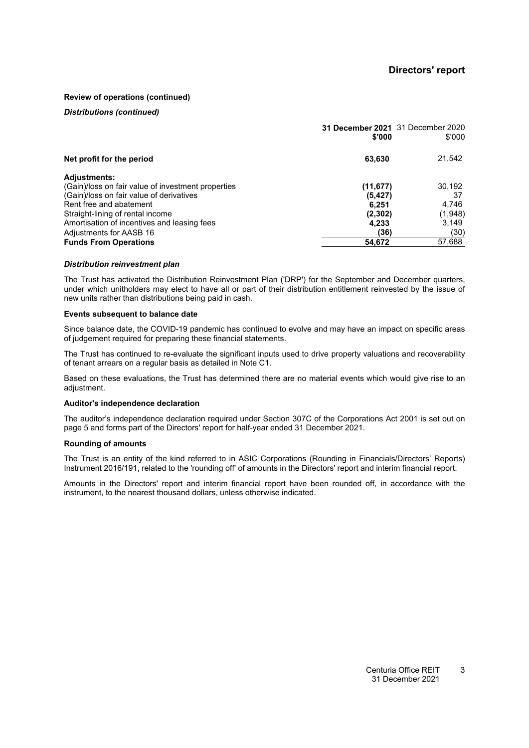### **Review of operations (continued)**

### *Distributions (continued)*

|                                                    | 31 December 2021 31 December 2020<br>\$'000 | \$'000  |
|----------------------------------------------------|---------------------------------------------|---------|
| Net profit for the period                          | 63,630                                      | 21,542  |
| <b>Adjustments:</b>                                |                                             |         |
| (Gain)/loss on fair value of investment properties | (11, 677)                                   | 30,192  |
| (Gain)/loss on fair value of derivatives           | (5,427)                                     | 37      |
| Rent free and abatement                            | 6.251                                       | 4,746   |
| Straight-lining of rental income                   | (2, 302)                                    | (1,948) |
| Amortisation of incentives and leasing fees        | 4.233                                       | 3,149   |
| Adjustments for AASB 16                            | (36)                                        | (30)    |
| <b>Funds From Operations</b>                       | 54,672                                      | 57,688  |

#### *Distribution reinvestment plan*

The Trust has activated the Distribution Reinvestment Plan ('DRP') for the September and December quarters, under which unitholders may elect to have all or part of their distribution entitlement reinvested by the issue of new units rather than distributions being paid in cash.

#### **Events subsequent to balance date**

Since balance date, the COVID-19 pandemic has continued to evolve and may have an impact on specific areas of judgement required for preparing these financial statements.

The Trust has continued to re-evaluate the significant inputs used to drive property valuations and recoverability of tenant arrears on a regular basis as detailed in Note [C1.](#page-12-0)

Based on these evaluations, the Trust has determined there are no material events which would give rise to an adiustment.

#### **Auditor's independence declaration**

The auditor's independence declaration required under Section 307C of the Corporations Act 2001 is set out on page 5 and forms part of the Directors' report for half-year ended 31 December 2021.

#### **Rounding of amounts**

The Trust is an entity of the kind referred to in ASIC Corporations (Rounding in Financials/Directors' Reports) Instrument 2016/191, related to the 'rounding off' of amounts in the Directors' report and interim financial report.

Amounts in the Directors' report and interim financial report have been rounded off, in accordance with the instrument, to the nearest thousand dollars, unless otherwise indicated.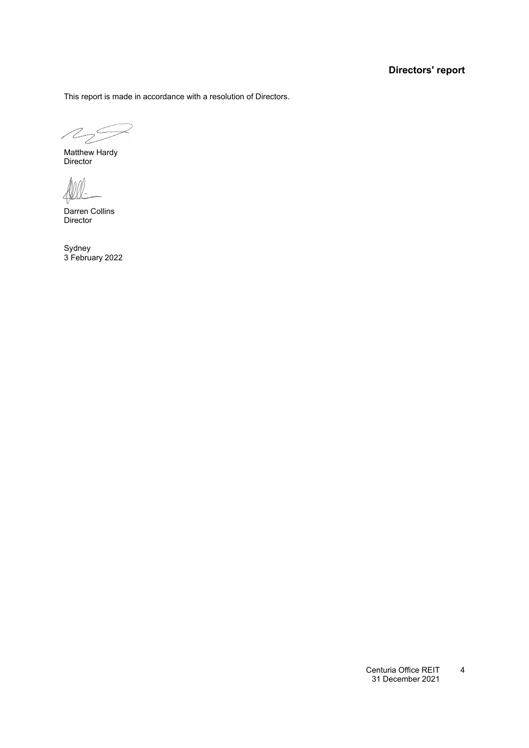### **Directors' report**

This report is made in accordance with a resolution of Directors.

 $\mathbb{Z}_2$ 

Matthew Hardy **Director** 

 $\left\langle 4\right\rangle$ 

Darren Collins Director

Sydney 3 February 2022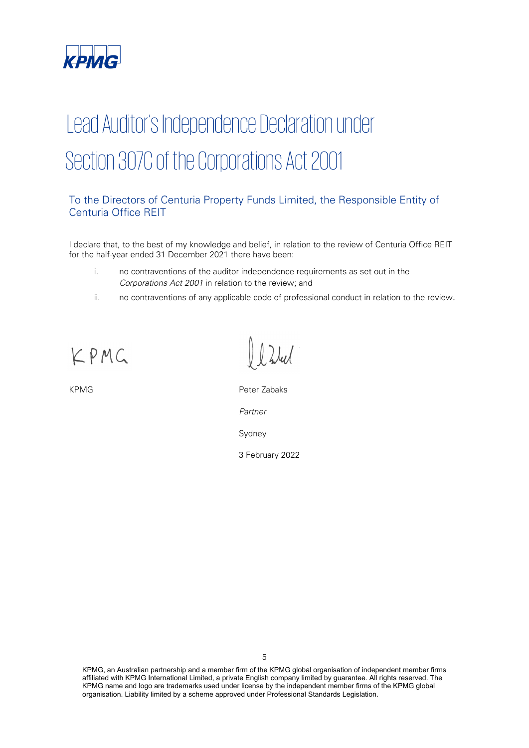

# Lead Auditor's Independence Declaration under Section 307C of the Corporations Act 2001

### To the Directors of Centuria Property Funds Limited, the Responsible Entity of Centuria Office REIT

I declare that, to the best of my knowledge and belief, in relation to the review of Centuria Office REIT for the half-year ended 31 December 2021 there have been:

- i. no contraventions of the auditor independence requirements as set out in the Corporations Act 2001 in relation to the review; and
- ii. no contraventions of any applicable code of professional conduct in relation to the review.

KPMG

KPMG **Peter Zabaks** Partner Sydney

3 February 2022

KPMG, an Australian partnership and a member firm of the KPMG global organisation of independent member firms affiliated with KPMG International Limited, a private English company limited by guarantee. All rights reserved. The KPMG name and logo are trademarks used under license by the independent member firms of the KPMG global organisation. Liability limited by a scheme approved under Professional Standards Legislation.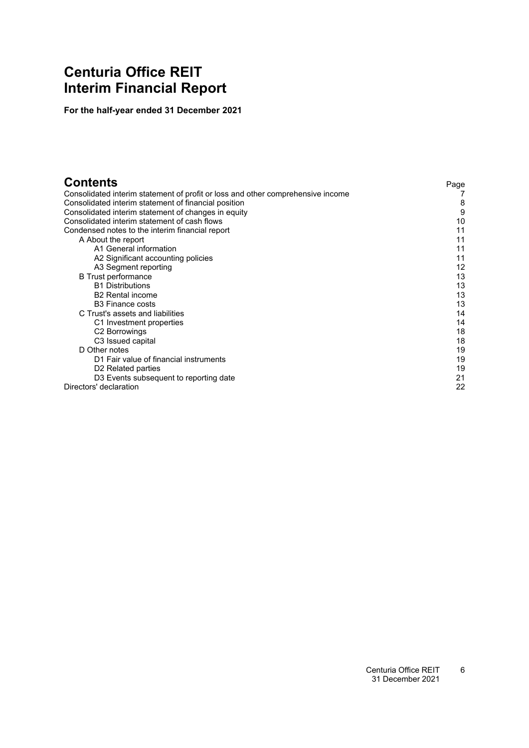### <span id="page-7-0"></span>**Centuria Office REIT Interim Financial Report**

**For the half-year ended 31 December 2021**

| <b>Contents</b>                                                                 | Page |
|---------------------------------------------------------------------------------|------|
| Consolidated interim statement of profit or loss and other comprehensive income |      |
| Consolidated interim statement of financial position                            | 8    |
| Consolidated interim statement of changes in equity                             | 9    |
| Consolidated interim statement of cash flows                                    | 10   |
| Condensed notes to the interim financial report                                 | 11   |
| A About the report                                                              | 11   |
| A1 General information                                                          | 11   |
| A2 Significant accounting policies                                              | 11   |
| A3 Segment reporting                                                            | 12   |
| <b>B</b> Trust performance                                                      | 13   |
| <b>B1 Distributions</b>                                                         | 13   |
| <b>B2</b> Rental income                                                         | 13   |
| <b>B3</b> Finance costs                                                         | 13   |
| C Trust's assets and liabilities                                                | 14   |
| C1 Investment properties                                                        | 14   |
| C <sub>2</sub> Borrowings                                                       | 18   |
| C <sub>3</sub> Issued capital                                                   | 18   |
| D Other notes                                                                   | 19   |
| D1 Fair value of financial instruments                                          | 19   |
| D <sub>2</sub> Related parties                                                  | 19   |
| D3 Events subsequent to reporting date                                          | 21   |
| Directors' declaration                                                          | 22   |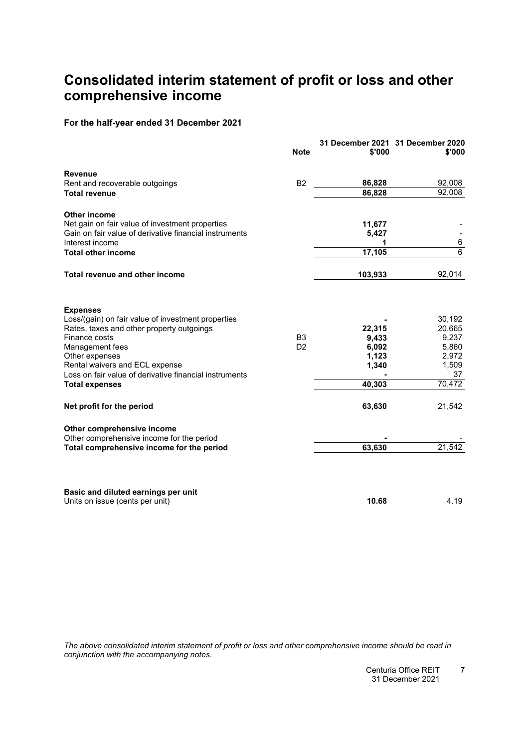### <span id="page-8-0"></span>**Consolidated interim statement of profit or loss and other comprehensive income**

### **For the half-year ended 31 December 2021**

|                                                                                                                                                                                                                                                                                               | <b>Note</b>                      | \$'000                                               | 31 December 2021 31 December 2020<br>\$'000                          |
|-----------------------------------------------------------------------------------------------------------------------------------------------------------------------------------------------------------------------------------------------------------------------------------------------|----------------------------------|------------------------------------------------------|----------------------------------------------------------------------|
| <b>Revenue</b>                                                                                                                                                                                                                                                                                |                                  |                                                      |                                                                      |
| Rent and recoverable outgoings                                                                                                                                                                                                                                                                | B <sub>2</sub>                   | 86,828<br>86,828                                     | 92,008<br>92,008                                                     |
| <b>Total revenue</b>                                                                                                                                                                                                                                                                          |                                  |                                                      |                                                                      |
| <b>Other income</b>                                                                                                                                                                                                                                                                           |                                  |                                                      |                                                                      |
| Net gain on fair value of investment properties                                                                                                                                                                                                                                               |                                  | 11,677                                               |                                                                      |
| Gain on fair value of derivative financial instruments                                                                                                                                                                                                                                        |                                  | 5,427                                                |                                                                      |
| Interest income                                                                                                                                                                                                                                                                               |                                  | 1                                                    | 6<br>$\overline{6}$                                                  |
| <b>Total other income</b>                                                                                                                                                                                                                                                                     |                                  | 17,105                                               |                                                                      |
| Total revenue and other income                                                                                                                                                                                                                                                                |                                  | 103,933                                              | 92,014                                                               |
| <b>Expenses</b><br>Loss/(gain) on fair value of investment properties<br>Rates, taxes and other property outgoings<br>Finance costs<br>Management fees<br>Other expenses<br>Rental waivers and ECL expense<br>Loss on fair value of derivative financial instruments<br><b>Total expenses</b> | B <sub>3</sub><br>D <sub>2</sub> | 22,315<br>9,433<br>6,092<br>1,123<br>1,340<br>40,303 | 30,192<br>20,665<br>9,237<br>5,860<br>2,972<br>1,509<br>37<br>70,472 |
| Net profit for the period                                                                                                                                                                                                                                                                     |                                  | 63,630                                               | 21,542                                                               |
| Other comprehensive income                                                                                                                                                                                                                                                                    |                                  |                                                      |                                                                      |
| Other comprehensive income for the period                                                                                                                                                                                                                                                     |                                  |                                                      |                                                                      |
| Total comprehensive income for the period                                                                                                                                                                                                                                                     |                                  | 63,630                                               | 21,542                                                               |
| Basic and diluted earnings per unit<br>Units on issue (cents per unit)                                                                                                                                                                                                                        |                                  | 10.68                                                | 4.19                                                                 |

The above consolidated interim statement of profit or loss and other comprehensive income should be read in *conjunction with the accompanying notes.*

> Centuria Office REIT 731 December 2021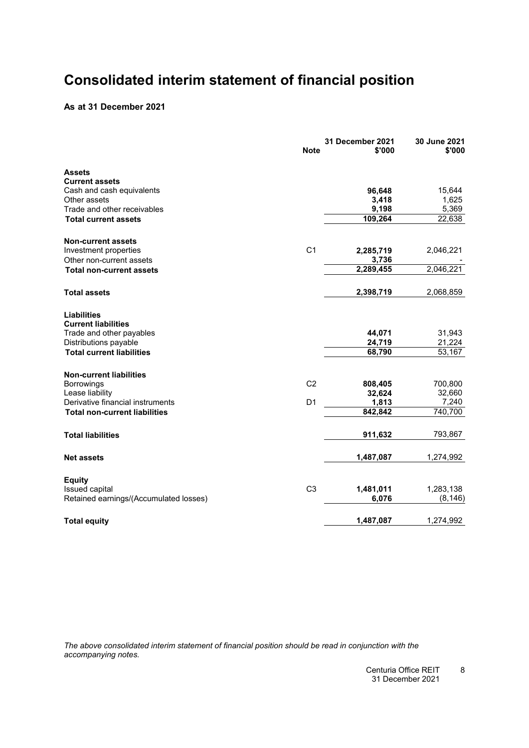### <span id="page-9-0"></span>**Consolidated interim statement of financial position**

### **As at 31 December 2021**

| <b>Note</b>                                        | 31 December 2021<br>\$'000 | 30 June 2021<br>\$'000 |
|----------------------------------------------------|----------------------------|------------------------|
| Assets                                             |                            |                        |
| <b>Current assets</b>                              |                            |                        |
| Cash and cash equivalents                          | 96,648                     | 15,644                 |
| Other assets                                       | 3,418                      | 1,625                  |
| Trade and other receivables                        | 9,198                      | 5,369                  |
| <b>Total current assets</b>                        | 109,264                    | 22,638                 |
| <b>Non-current assets</b>                          |                            |                        |
| C <sub>1</sub><br>Investment properties            | 2,285,719                  | 2,046,221              |
| Other non-current assets                           | 3,736                      |                        |
| <b>Total non-current assets</b>                    | 2,289,455                  | 2,046,221              |
| <b>Total assets</b>                                | 2,398,719                  | 2,068,859              |
| <b>Liabilities</b>                                 |                            |                        |
| <b>Current liabilities</b>                         |                            |                        |
| Trade and other payables                           | 44,071                     | 31,943                 |
| Distributions payable                              | 24,719                     | 21,224                 |
| <b>Total current liabilities</b>                   | 68,790                     | 53,167                 |
| <b>Non-current liabilities</b>                     |                            |                        |
| C <sub>2</sub><br>Borrowings                       | 808,405                    | 700,800                |
| Lease liability                                    | 32,624                     | 32,660                 |
| Derivative financial instruments<br>D <sub>1</sub> | 1,813                      | 7,240                  |
| <b>Total non-current liabilities</b>               | 842,842                    | 740,700                |
| <b>Total liabilities</b>                           | 911,632                    | 793,867                |
| <b>Net assets</b>                                  | 1,487,087                  | 1,274,992              |
| <b>Equity</b>                                      |                            |                        |
| C <sub>3</sub><br>Issued capital                   | 1,481,011                  | 1,283,138              |
| Retained earnings/(Accumulated losses)             | 6,076                      | (8, 146)               |
| <b>Total equity</b>                                | 1,487,087                  | 1,274,992              |

*The above consolidated interim statement of financial position should be read in conjunction with the accompanying notes.*

> Centuria Office REIT 831 December 2021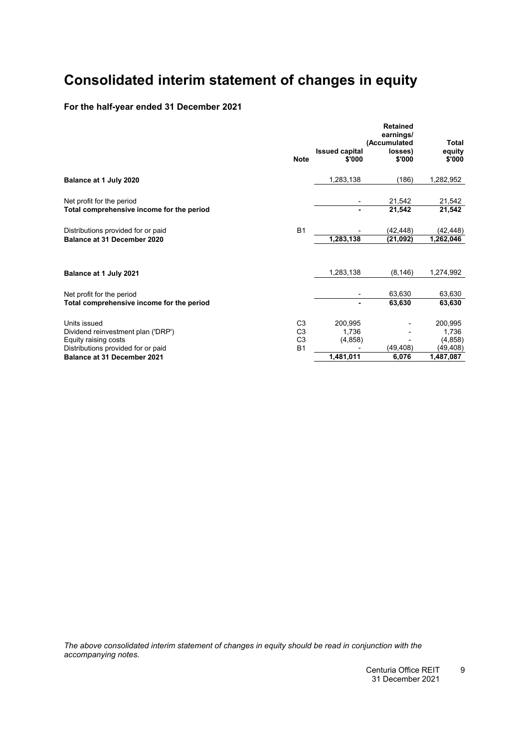### <span id="page-10-0"></span>**Consolidated interim statement of changes in equity**

### **For the half-year ended 31 December 2021**

|                                           | <b>Retained</b><br>earnings/<br>(Accumulated |                                 |                   | <b>Total</b>     |
|-------------------------------------------|----------------------------------------------|---------------------------------|-------------------|------------------|
|                                           | <b>Note</b>                                  | <b>Issued capital</b><br>\$'000 | losses)<br>\$'000 | equity<br>\$'000 |
| Balance at 1 July 2020                    |                                              | 1,283,138                       | (186)             | 1,282,952        |
| Net profit for the period                 |                                              |                                 | 21,542            | 21,542           |
| Total comprehensive income for the period |                                              |                                 | 21,542            | 21,542           |
| Distributions provided for or paid        | <b>B1</b>                                    |                                 | (42, 448)         | (42,448)         |
| Balance at 31 December 2020               |                                              | 1,283,138                       | (21, 092)         | 1,262,046        |
| Balance at 1 July 2021                    |                                              | 1,283,138                       | (8, 146)          | 1,274,992        |
| Net profit for the period                 |                                              |                                 | 63,630            | 63,630           |
| Total comprehensive income for the period |                                              | ۰                               | 63,630            | 63,630           |
| Units issued                              | C <sub>3</sub>                               | 200,995                         |                   | 200,995          |
| Dividend reinvestment plan ('DRP')        | C <sub>3</sub>                               | 1,736                           |                   | 1,736            |
| Equity raising costs                      | C <sub>3</sub>                               | (4, 858)                        |                   | (4, 858)         |
| Distributions provided for or paid        | <b>B1</b>                                    |                                 | (49, 408)         | (49, 408)        |
| Balance at 31 December 2021               |                                              | 1,481,011                       | 6,076             | 1,487,087        |

*The above consolidated interim statement of changes in equity should be read in conjunction with the accompanying notes.*

> Centuria Office REIT 31 December 2021 9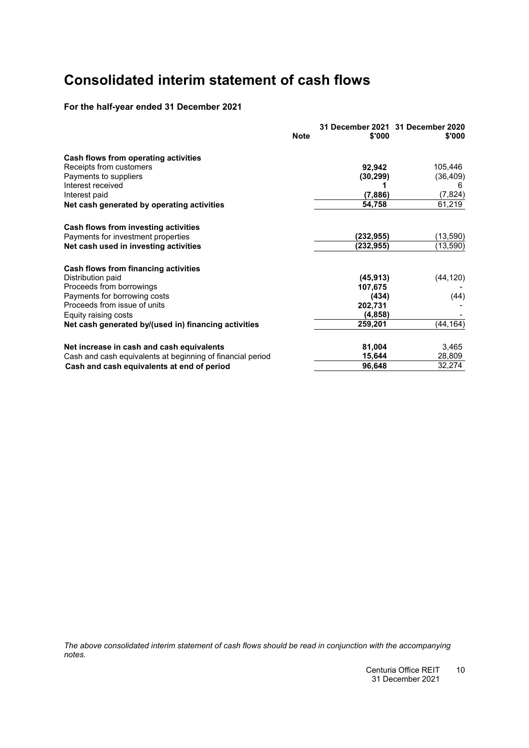## <span id="page-11-0"></span>**Consolidated interim statement of cash flows**

### **For the half-year ended 31 December 2021**

|                                                            | <b>Note</b> | \$'000    | 31 December 2021 31 December 2020<br>\$'000 |
|------------------------------------------------------------|-------------|-----------|---------------------------------------------|
| Cash flows from operating activities                       |             |           |                                             |
| Receipts from customers                                    |             | 92,942    | 105,446                                     |
| Payments to suppliers                                      |             | (30, 299) | (36, 409)                                   |
| Interest received                                          |             |           |                                             |
| Interest paid                                              |             | (7,886)   | (7, 824)                                    |
| Net cash generated by operating activities                 |             | 54,758    | 61,219                                      |
| Cash flows from investing activities                       |             |           |                                             |
| Payments for investment properties                         |             | (232,955) | (13, 590)                                   |
| Net cash used in investing activities                      |             | (232,955) | (13, 590)                                   |
| Cash flows from financing activities                       |             |           |                                             |
| Distribution paid                                          |             | (45, 913) | (44, 120)                                   |
| Proceeds from borrowings                                   |             | 107,675   |                                             |
| Payments for borrowing costs                               |             | (434)     | (44)                                        |
| Proceeds from issue of units                               |             | 202,731   |                                             |
| Equity raising costs                                       |             | (4, 858)  |                                             |
| Net cash generated by/(used in) financing activities       |             | 259,201   | (44, 164)                                   |
| Net increase in cash and cash equivalents                  |             | 81,004    | 3,465                                       |
| Cash and cash equivalents at beginning of financial period |             | 15,644    | 28,809                                      |
| Cash and cash equivalents at end of period                 |             | 96,648    | 32,274                                      |

*The above consolidated interim statement of cash flows should be read in conjunction with the accompanying notes.*

> Centuria Office REIT 1031 December 2021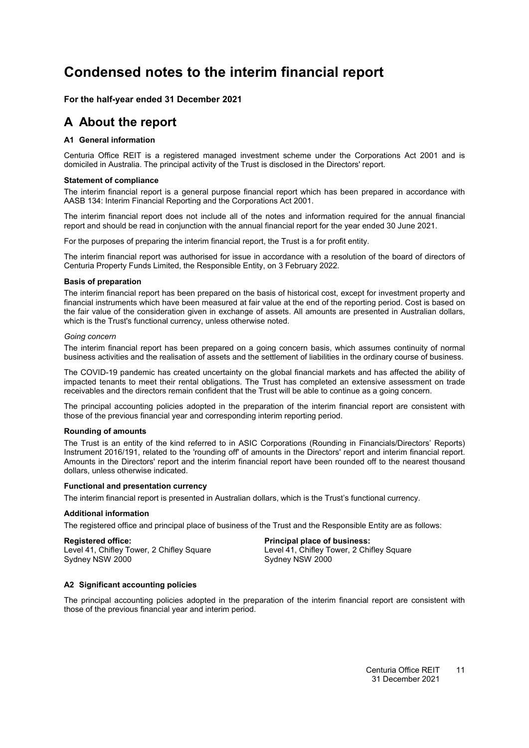### <span id="page-12-4"></span><span id="page-12-0"></span>**Condensed notes to the interim financial report**

<span id="page-12-1"></span>**For the half-year ended 31 December 2021**

### <span id="page-12-2"></span>**A About the report**

### **[A1](#page-12-2) General information**

Centuria Office REIT is a registered managed investment scheme under the Corporations Act 2001 and is domiciled in Australia. The principal activity of the Trust is disclosed in the Directors' report.

### **Statement of compliance**

The interim financial report is a general purpose financial report which has been prepared in accordance with AASB 134: Interim Financial Reporting and the Corporations Act 2001.

The interim financial report does not include all of the notes and information required for the annual financial report and should be read in conjunction with the annual financial report for the year ended 30 June 2021.

For the purposes of preparing the interim financial report, the Trust is a for profit entity.

The interim financial report was authorised for issue in accordance with a resolution of the board of directors of Centuria Property Funds Limited, the Responsible Entity, on 3 February 2022.

### **Basis of preparation**

The interim financial report has been prepared on the basis of historical cost, except for investment property and financial instruments which have been measured at fair value at the end of the reporting period. Cost is based on the fair value of the consideration given in exchange of assets. All amounts are presented in Australian dollars, which is the Trust's functional currency, unless otherwise noted.

### *Going concern*

The interim financial report has been prepared on a going concern basis, which assumes continuity of normal business activities and the realisation of assets and the settlement of liabilities in the ordinary course of business.

The COVID-19 pandemic has created uncertainty on the global financial markets and has affected the ability of impacted tenants to meet their rental obligations. The Trust has completed an extensive assessment on trade receivables and the directors remain confident that the Trust will be able to continue as a going concern.

The principal accounting policies adopted in the preparation of the interim financial report are consistent with those of the previous financial year and corresponding interim reporting period.

### **Rounding of amounts**

The Trust is an entity of the kind referred to in ASIC Corporations (Rounding in Financials/Directors' Reports) Instrument 2016/191, related to the 'rounding off' of amounts in the Directors' report and interim financial report. Amounts in the Directors' report and the interim financial report have been rounded off to the nearest thousand dollars, unless otherwise indicated.

### **Functional and presentation currency**

The interim financial report is presented in Australian dollars, which is the Trust's functional currency.

### **Additional information**

The registered office and principal place of business of the Trust and the Responsible Entity are as follows:

<span id="page-12-3"></span>**Registered office: Principal place of business:** Level 41, Chifley Tower, 2 Chifley Square Level 41, Chifley Tower, 2 Chifley Square Level 41, Chifley Tower, 2000 Sydney NSW 2000

### **[A2](#page-12-3) Significant accounting policies**

The principal accounting policies adopted in the preparation of the interim financial report are consistent with those of the previous financial year and interim period.

#### Centuria Office REIT 31 December 2021 11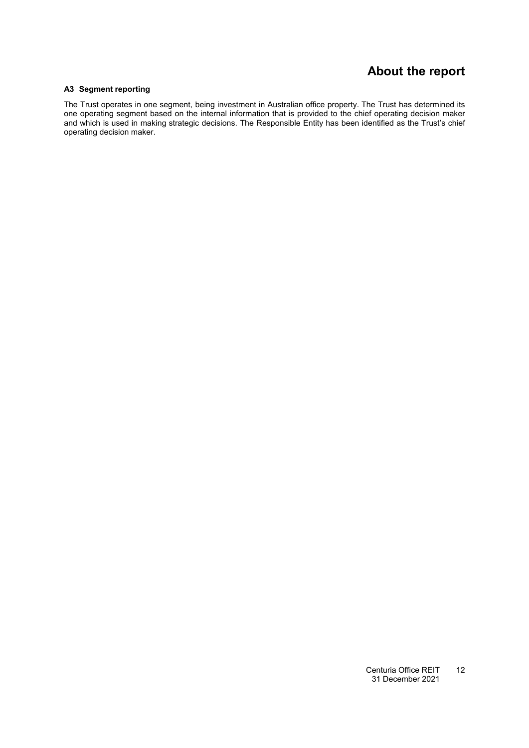### **About the report**

### <span id="page-13-0"></span>**[A3](#page-13-0) Segment reporting**

The Trust operates in one segment, being investment in Australian office property. The Trust has determined its one operating segment based on the internal information that is provided to the chief operating decision maker and which is used in making strategic decisions. The Responsible Entity has been identified as the Trust's chief operating decision maker.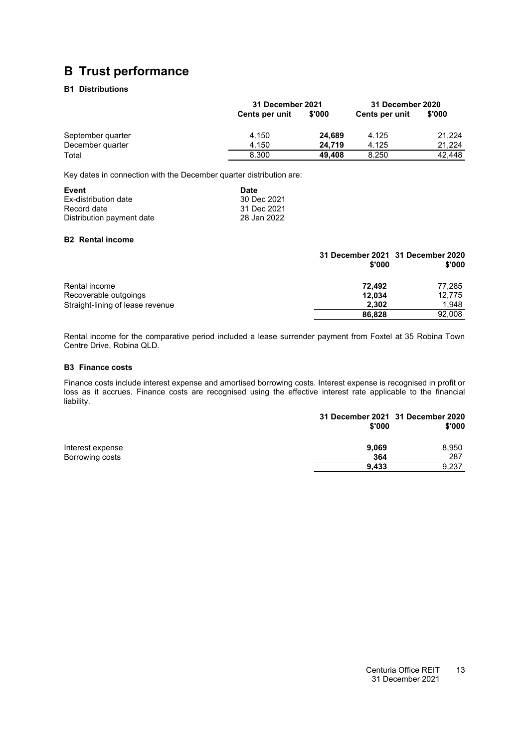### <span id="page-14-1"></span><span id="page-14-0"></span>**B Trust performance**

### **[B1](#page-14-1) Distributions**

|                   |                       | 31 December 2021 |                | 31 December 2020 |
|-------------------|-----------------------|------------------|----------------|------------------|
|                   | <b>Cents per unit</b> | \$'000           | Cents per unit | \$'000           |
| September quarter | 4.150                 | 24.689           | 4.125          | 21.224           |
| December quarter  | 4.150                 | 24.719           | 4.125          | 21.224           |
| Total             | 8.300                 | 49.408           | 8.250          | 42.448           |

Key dates in connection with the December quarter distribution are:

| Event                     | <b>Date</b> |
|---------------------------|-------------|
| Ex-distribution date      | 30 Dec 2021 |
| Record date               | 31 Dec 2021 |
| Distribution payment date | 28 Jan 2022 |

### <span id="page-14-2"></span>**[B2](#page-14-2) Rental income**

|                                  | 31 December 2021 31 December 2020<br>\$'000 | \$'000 |
|----------------------------------|---------------------------------------------|--------|
| Rental income                    | 72.492                                      | 77,285 |
| Recoverable outgoings            | 12,034                                      | 12.775 |
| Straight-lining of lease revenue | 2.302                                       | 1.948  |
|                                  | 86,828                                      | 92,008 |

<span id="page-14-3"></span>Rental income for the comparative period included a lease surrender payment from Foxtel at 35 Robina Town Centre Drive, Robina QLD.

### **[B3](#page-14-3) Finance costs**

Finance costs include interest expense and amortised borrowing costs. Interest expense is recognised in profit or loss as it accrues. Finance costs are recognised using the effective interest rate applicable to the financial liability.

|                  | 31 December 2021 31 December 2020<br>\$'000 | \$'000 |
|------------------|---------------------------------------------|--------|
| Interest expense | 9,069                                       | 8,950  |
| Borrowing costs  | 364                                         | 287    |
|                  | 9.433                                       | 9,237  |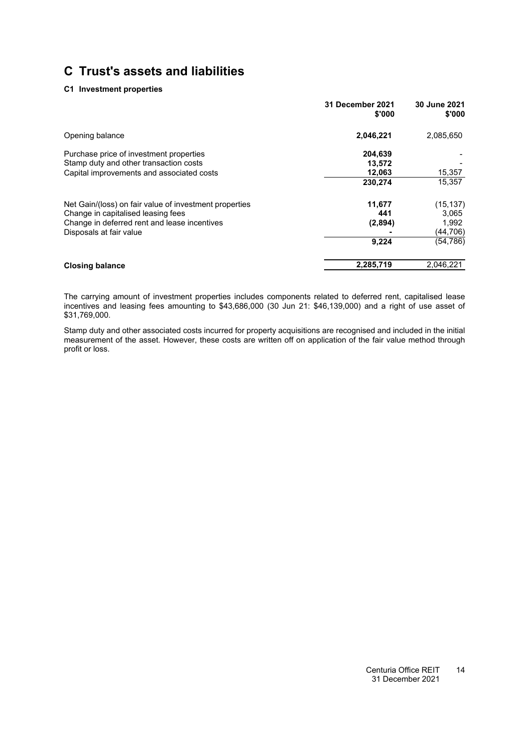### **[C1](#page-12-0) Investment properties**

|                                                                                                                                              | <b>31 December 2021</b><br>\$'000 | 30 June 2021<br>\$'000      |
|----------------------------------------------------------------------------------------------------------------------------------------------|-----------------------------------|-----------------------------|
| Opening balance                                                                                                                              | 2,046,221                         | 2,085,650                   |
| Purchase price of investment properties<br>Stamp duty and other transaction costs                                                            | 204,639<br>13.572                 |                             |
| Capital improvements and associated costs                                                                                                    | 12,063<br>230,274                 | 15,357<br>15,357            |
| Net Gain/(loss) on fair value of investment properties<br>Change in capitalised leasing fees<br>Change in deferred rent and lease incentives | 11,677<br>441<br>(2,894)          | (15, 137)<br>3,065<br>1,992 |
| Disposals at fair value                                                                                                                      | 9,224                             | (44,706)<br>(54, 786)       |
| <b>Closing balance</b>                                                                                                                       | 2,285,719                         | 2,046,221                   |

The carrying amount of investment properties includes components related to deferred rent, capitalised lease incentives and leasing fees amounting to \$43,686,000 (30 Jun 21: \$46,139,000) and a right of use asset of \$31,769,000.

Stamp duty and other associated costs incurred for property acquisitions are recognised and included in the initial measurement of the asset. However, these costs are written off on application of the fair value method through profit or loss.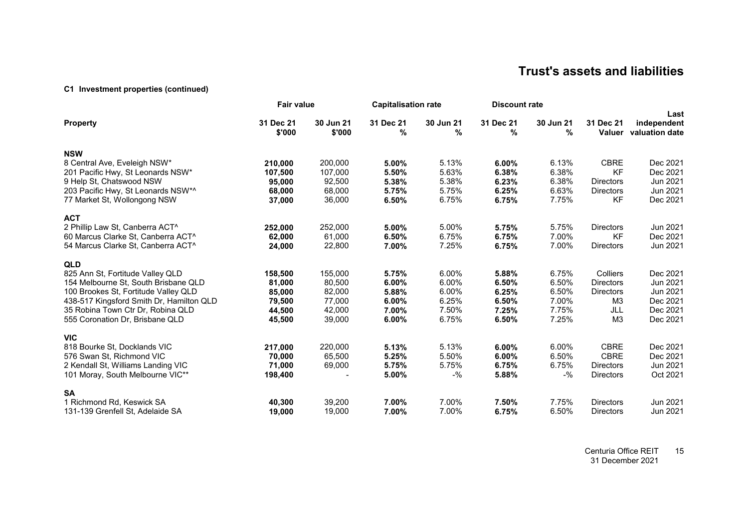### **[C1](#page-12-4) Investment properties (continued)**

|                                          | <b>Fair value</b>   |                     | <b>Capitalisation rate</b> |                | <b>Discount rate</b> |                |                     |                                       |
|------------------------------------------|---------------------|---------------------|----------------------------|----------------|----------------------|----------------|---------------------|---------------------------------------|
| <b>Property</b>                          | 31 Dec 21<br>\$'000 | 30 Jun 21<br>\$'000 | 31 Dec 21<br>%             | 30 Jun 21<br>% | 31 Dec 21<br>%       | 30 Jun 21<br>% | 31 Dec 21<br>Valuer | Last<br>independent<br>valuation date |
| <b>NSW</b>                               |                     |                     |                            |                |                      |                |                     |                                       |
| 8 Central Ave, Eveleigh NSW*             | 210,000             | 200,000             | 5.00%                      | 5.13%          | 6.00%                | 6.13%          | <b>CBRE</b>         | Dec 2021                              |
| 201 Pacific Hwy, St Leonards NSW*        | 107,500             | 107,000             | 5.50%                      | 5.63%          | 6.38%                | 6.38%          | <b>KF</b>           | Dec 2021                              |
| 9 Help St, Chatswood NSW                 | 95,000              | 92,500              | 5.38%                      | 5.38%          | 6.23%                | 6.38%          | <b>Directors</b>    | Jun 2021                              |
| 203 Pacific Hwy, St Leonards NSW*^       | 68,000              | 68,000              | 5.75%                      | 5.75%          | 6.25%                | 6.63%          | <b>Directors</b>    | Jun 2021                              |
| 77 Market St, Wollongong NSW             | 37,000              | 36,000              | 6.50%                      | 6.75%          | 6.75%                | 7.75%          | <b>KF</b>           | Dec 2021                              |
| <b>ACT</b>                               |                     |                     |                            |                |                      |                |                     |                                       |
| 2 Phillip Law St, Canberra ACT^          | 252,000             | 252,000             | 5.00%                      | 5.00%          | 5.75%                | 5.75%          | <b>Directors</b>    | Jun 2021                              |
| 60 Marcus Clarke St, Canberra ACT^       | 62,000              | 61,000              | 6.50%                      | 6.75%          | 6.75%                | 7.00%          | <b>KF</b>           | Dec 2021                              |
| 54 Marcus Clarke St, Canberra ACT^       | 24,000              | 22,800              | 7.00%                      | 7.25%          | 6.75%                | 7.00%          | <b>Directors</b>    | Jun 2021                              |
| <b>QLD</b>                               |                     |                     |                            |                |                      |                |                     |                                       |
| 825 Ann St, Fortitude Valley QLD         | 158,500             | 155,000             | 5.75%                      | 6.00%          | 5.88%                | 6.75%          | Colliers            | Dec 2021                              |
| 154 Melbourne St, South Brisbane QLD     | 81,000              | 80,500              | 6.00%                      | 6.00%          | 6.50%                | 6.50%          | <b>Directors</b>    | Jun 2021                              |
| 100 Brookes St, Fortitude Valley QLD     | 85,000              | 82,000              | 5.88%                      | 6.00%          | 6.25%                | 6.50%          | <b>Directors</b>    | Jun 2021                              |
| 438-517 Kingsford Smith Dr, Hamilton QLD | 79,500              | 77,000              | 6.00%                      | 6.25%          | 6.50%                | 7.00%          | ΜЗ                  | Dec 2021                              |
| 35 Robina Town Ctr Dr, Robina QLD        | 44,500              | 42,000              | 7.00%                      | 7.50%          | 7.25%                | 7.75%          | JLL                 | Dec 2021                              |
| 555 Coronation Dr. Brisbane QLD          | 45,500              | 39,000              | 6.00%                      | 6.75%          | 6.50%                | 7.25%          | M <sub>3</sub>      | Dec 2021                              |
| <b>VIC</b>                               |                     |                     |                            |                |                      |                |                     |                                       |
| 818 Bourke St, Docklands VIC             | 217,000             | 220,000             | 5.13%                      | 5.13%          | 6.00%                | 6.00%          | <b>CBRE</b>         | Dec 2021                              |
| 576 Swan St, Richmond VIC                | 70,000              | 65,500              | 5.25%                      | 5.50%          | 6.00%                | 6.50%          | <b>CBRE</b>         | Dec 2021                              |
| 2 Kendall St, Williams Landing VIC       | 71,000              | 69,000              | 5.75%                      | 5.75%          | 6.75%                | 6.75%          | <b>Directors</b>    | Jun 2021                              |
| 101 Moray, South Melbourne VIC**         | 198,400             |                     | 5.00%                      | $-$ %          | 5.88%                | $-$ %          | <b>Directors</b>    | Oct 2021                              |
| <b>SA</b>                                |                     |                     |                            |                |                      |                |                     |                                       |
| 1 Richmond Rd, Keswick SA                | 40,300              | 39,200              | 7.00%                      | 7.00%          | 7.50%                | 7.75%          | <b>Directors</b>    | Jun 2021                              |
| 131-139 Grenfell St, Adelaide SA         | 19,000              | 19,000              | 7.00%                      | 7.00%          | 6.75%                | 6.50%          | <b>Directors</b>    | Jun 2021                              |

Centuria Office REIT 31 December 2021 15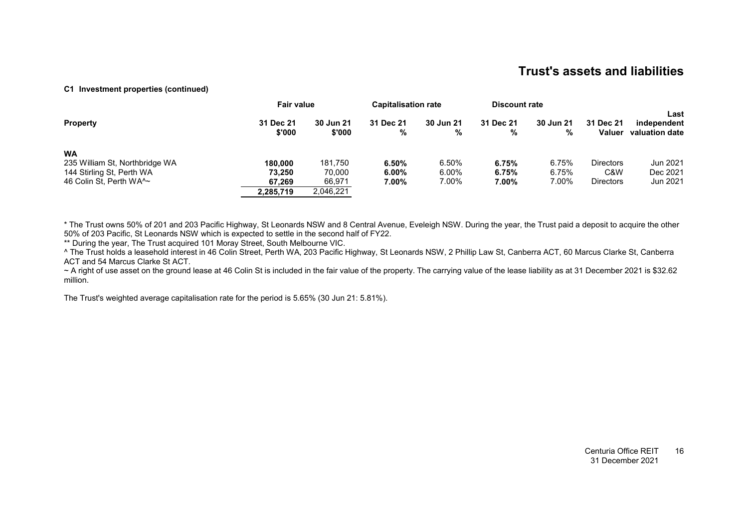### **[C1](#page-12-4) Investment properties (continued)**

|                                             | <b>Fair value</b>   |                            | <b>Capitalisation rate</b> |                | <b>Discount rate</b> |                       |                            |                                       |
|---------------------------------------------|---------------------|----------------------------|----------------------------|----------------|----------------------|-----------------------|----------------------------|---------------------------------------|
| <b>Property</b>                             | 31 Dec 21<br>\$'000 | <b>30 Jun 21</b><br>\$'000 | 31 Dec 21<br>%             | 30 Jun 21<br>% | 31 Dec 21<br>%       | <b>30 Jun 21</b><br>% | 31 Dec 21<br><b>Valuer</b> | Last<br>independent<br>valuation date |
| <b>WA</b><br>235 William St, Northbridge WA | 180.000             | 181.750                    | 6.50%                      | 6.50%          | 6.75%                | 6.75%                 | <b>Directors</b>           | Jun 2021                              |
| 144 Stirling St, Perth WA                   | 73.250              | 70.000                     | $6.00\%$                   | 6.00%          | 6.75%                | 6.75%                 | C&W                        | Dec 2021                              |
| 46 Colin St, Perth WA^~                     | 67.269              | 66,971                     | 7.00%                      | 7.00%          | 7.00%                | 7.00%                 | <b>Directors</b>           | Jun 2021                              |
|                                             | 2,285,719           | 2,046,221                  |                            |                |                      |                       |                            |                                       |

\* The Trust owns 50% of 201 and 203 Pacific Highway, St Leonards NSW and 8 Central Avenue, Eveleigh NSW. During the year, the Trust paid a deposit to acquire the other 50% of 203 Pacific, St Leonards NSW which is expected to settle in the second half of FY22.

\*\* During the year, The Trust acquired 101 Moray Street, South Melbourne VIC.

^ The Trust holds a leasehold interest in 46 Colin Street, Perth WA, 203 Pacific Highway, St Leonards NSW, 2 Phillip Law St, Canberra ACT, 60 Marcus Clarke St, Canberra ACT and 54 Marcus Clarke St ACT.

~ A right of use asset on the ground lease at 46 Colin St is included in the fair value of the property. The carrying value of the lease liability as at 31 December 2021 is \$32.62 million.

The Trust's weighted average capitalisation rate for the period is 5.65% (30 Jun 21: 5.81%).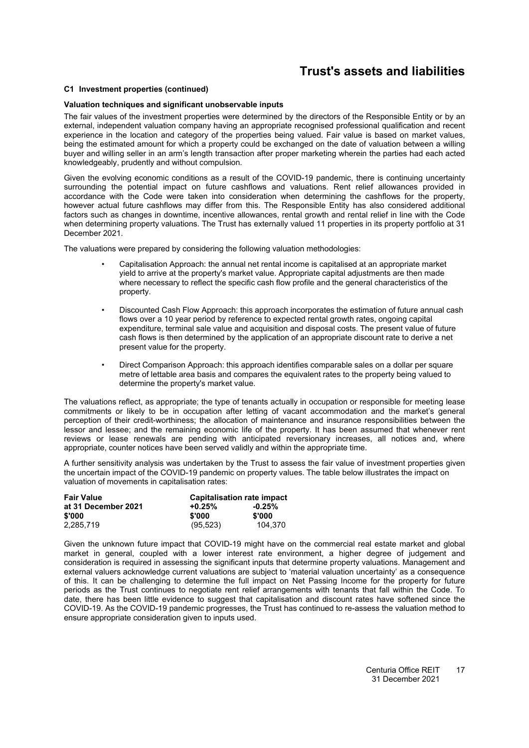### **[C1](#page-12-0) Investment properties (continued)**

### **Valuation techniques and significant unobservable inputs**

The fair values of the investment properties were determined by the directors of the Responsible Entity or by an external, independent valuation company having an appropriate recognised professional qualification and recent experience in the location and category of the properties being valued. Fair value is based on market values, being the estimated amount for which a property could be exchanged on the date of valuation between a willing buyer and willing seller in an arm's length transaction after proper marketing wherein the parties had each acted knowledgeably, prudently and without compulsion.

Given the evolving economic conditions as a result of the COVID-19 pandemic, there is continuing uncertainty surrounding the potential impact on future cashflows and valuations. Rent relief allowances provided in accordance with the Code were taken into consideration when determining the cashflows for the property, however actual future cashflows may differ from this. The Responsible Entity has also considered additional factors such as changes in downtime, incentive allowances, rental growth and rental relief in line with the Code when determining property valuations. The Trust has externally valued 11 properties in its property portfolio at 31 December 2021.

The valuations were prepared by considering the following valuation methodologies:

- Capitalisation Approach: the annual net rental income is capitalised at an appropriate market yield to arrive at the property's market value. Appropriate capital adjustments are then made where necessary to reflect the specific cash flow profile and the general characteristics of the property.
- Discounted Cash Flow Approach: this approach incorporates the estimation of future annual cash flows over a 10 year period by reference to expected rental growth rates, ongoing capital expenditure, terminal sale value and acquisition and disposal costs. The present value of future cash flows is then determined by the application of an appropriate discount rate to derive a net present value for the property.
- Direct Comparison Approach: this approach identifies comparable sales on a dollar per square metre of lettable area basis and compares the equivalent rates to the property being valued to determine the property's market value.

The valuations reflect, as appropriate; the type of tenants actually in occupation or responsible for meeting lease commitments or likely to be in occupation after letting of vacant accommodation and the market's general perception of their credit-worthiness; the allocation of maintenance and insurance responsibilities between the lessor and lessee; and the remaining economic life of the property. It has been assumed that whenever rent reviews or lease renewals are pending with anticipated reversionary increases, all notices and, where appropriate, counter notices have been served validly and within the appropriate time.

A further sensitivity analysis was undertaken by the Trust to assess the fair value of investment properties given the uncertain impact of the COVID-19 pandemic on property values. The table below illustrates the impact on valuation of movements in capitalisation rates:

| <b>Fair Value</b>   | Capitalisation rate impact |          |  |  |
|---------------------|----------------------------|----------|--|--|
| at 31 December 2021 | $+0.25%$                   | $-0.25%$ |  |  |
| \$'000              | \$'000                     | \$'000   |  |  |
| 2.285.719           | (95, 523)                  | 104.370  |  |  |

Given the unknown future impact that COVID-19 might have on the commercial real estate market and global market in general, coupled with a lower interest rate environment, a higher degree of judgement and consideration is required in assessing the significant inputs that determine property valuations. Management and external valuers acknowledge current valuations are subject to 'material valuation uncertainty' as a consequence of this. It can be challenging to determine the full impact on Net Passing Income for the property for future periods as the Trust continues to negotiate rent relief arrangements with tenants that fall within the Code. To date, there has been little evidence to suggest that capitalisation and discount rates have softened since the COVID-19. As the COVID-19 pandemic progresses, the Trust has continued to re-assess the valuation method to ensure appropriate consideration given to inputs used.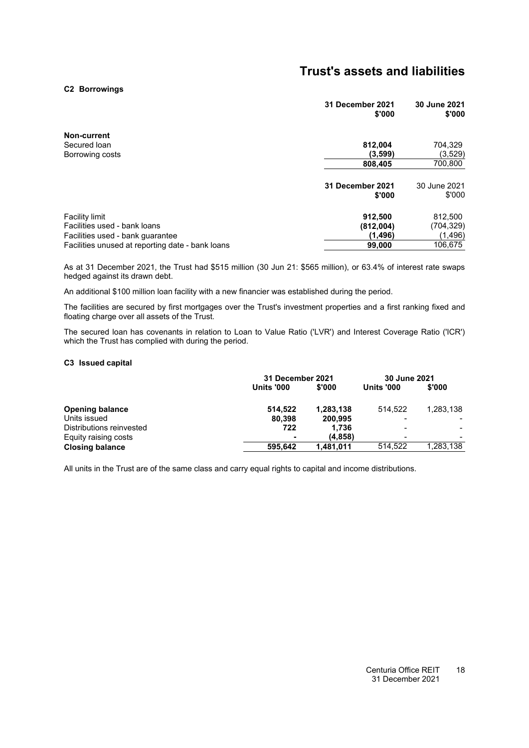#### <span id="page-19-0"></span>**[C2](#page-19-0) Borrowings**

|                                                  | 31 December 2021<br>\$'000 | 30 June 2021<br>\$'000 |
|--------------------------------------------------|----------------------------|------------------------|
| Non-current                                      |                            |                        |
| Secured Ioan                                     | 812,004                    | 704,329                |
| Borrowing costs                                  | (3,599)                    | (3, 529)               |
|                                                  | 808,405                    | 700,800                |
|                                                  | 31 December 2021<br>\$'000 | 30 June 2021<br>\$'000 |
| <b>Facility limit</b>                            | 912,500                    | 812,500                |
| Facilities used - bank loans                     | (812,004)                  | (704, 329)             |
| Facilities used - bank quarantee                 | (1, 496)                   | (1, 496)               |
| Facilities unused at reporting date - bank loans | 99,000                     | 106,675                |
|                                                  |                            |                        |

As at 31 December 2021, the Trust had \$515 million (30 Jun 21: \$565 million), or 63.4% of interest rate swaps hedged against its drawn debt.

An additional \$100 million loan facility with a new financier was established during the period.

The facilities are secured by first mortgages over the Trust's investment properties and a first ranking fixed and floating charge over all assets of the Trust.

<span id="page-19-1"></span>The secured loan has covenants in relation to Loan to Value Ratio ('LVR') and Interest Coverage Ratio ('ICR') which the Trust has complied with during the period.

#### **[C3](#page-19-1) Issued capital**

|                          |                   | <b>31 December 2021</b> |                   | 30 June 2021 |
|--------------------------|-------------------|-------------------------|-------------------|--------------|
|                          | <b>Units '000</b> | \$'000                  | <b>Units '000</b> | \$'000       |
| <b>Opening balance</b>   | 514.522           | 1,283,138               | 514.522           | 1.283.138    |
| Units issued             | 80.398            | 200,995                 |                   |              |
| Distributions reinvested | 722               | 1.736                   |                   |              |
| Equity raising costs     |                   | (4, 858)                |                   |              |
| <b>Closing balance</b>   | 595.642           | 1,481,011               | 514.522           | 1,283,138    |

All units in the Trust are of the same class and carry equal rights to capital and income distributions.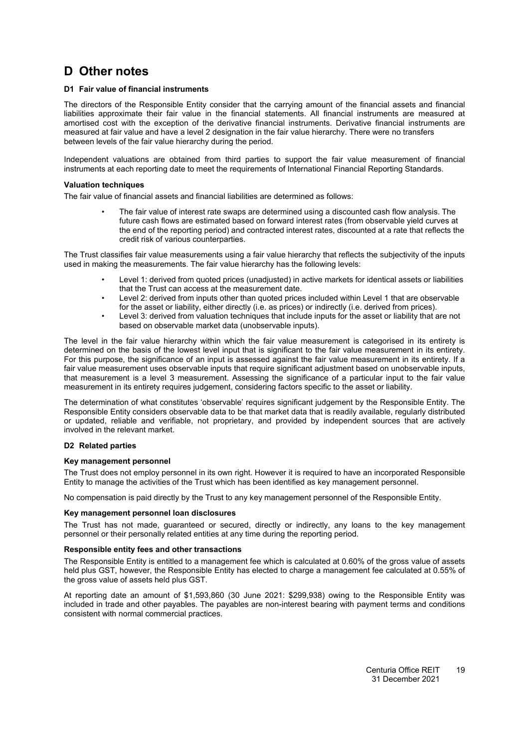### <span id="page-20-1"></span><span id="page-20-0"></span>**D Other notes**

### **[D1](#page-20-1) Fair value of financial instruments**

The directors of the Responsible Entity consider that the carrying amount of the financial assets and financial liabilities approximate their fair value in the financial statements. All financial instruments are measured at amortised cost with the exception of the derivative financial instruments. Derivative financial instruments are measured at fair value and have a level 2 designation in the fair value hierarchy. There were no transfers between levels of the fair value hierarchy during the period.

Independent valuations are obtained from third parties to support the fair value measurement of financial instruments at each reporting date to meet the requirements of International Financial Reporting Standards.

### **Valuation techniques**

The fair value of financial assets and financial liabilities are determined as follows:

• The fair value of interest rate swaps are determined using a discounted cash flow analysis. The future cash flows are estimated based on forward interest rates (from observable yield curves at the end of the reporting period) and contracted interest rates, discounted at a rate that reflects the credit risk of various counterparties.

The Trust classifies fair value measurements using a fair value hierarchy that reflects the subjectivity of the inputs used in making the measurements. The fair value hierarchy has the following levels:

- Level 1: derived from quoted prices (unadjusted) in active markets for identical assets or liabilities that the Trust can access at the measurement date.
- Level 2: derived from inputs other than quoted prices included within Level 1 that are observable for the asset or liability, either directly (i.e. as prices) or indirectly (i.e. derived from prices).
- Level 3: derived from valuation techniques that include inputs for the asset or liability that are not based on observable market data (unobservable inputs).

The level in the fair value hierarchy within which the fair value measurement is categorised in its entirety is determined on the basis of the lowest level input that is significant to the fair value measurement in its entirety. For this purpose, the significance of an input is assessed against the fair value measurement in its entirety. If a fair value measurement uses observable inputs that require significant adjustment based on unobservable inputs, that measurement is a level 3 measurement. Assessing the significance of a particular input to the fair value measurement in its entirety requires judgement, considering factors specific to the asset or liability.

The determination of what constitutes 'observable' requires significant judgement by the Responsible Entity. The Responsible Entity considers observable data to be that market data that is readily available, regularly distributed or updated, reliable and verifiable, not proprietary, and provided by independent sources that are actively involved in the relevant market.

### <span id="page-20-2"></span>**[D2](#page-20-2) Related parties**

### **Key management personnel**

The Trust does not employ personnel in its own right. However it is required to have an incorporated Responsible Entity to manage the activities of the Trust which has been identified as key management personnel.

No compensation is paid directly by the Trust to any key management personnel of the Responsible Entity.

### **Key management personnel loan disclosures**

The Trust has not made, guaranteed or secured, directly or indirectly, any loans to the key management personnel or their personally related entities at any time during the reporting period.

### **Responsible entity fees and other transactions**

The Responsible Entity is entitled to a management fee which is calculated at 0.60% of the gross value of assets held plus GST, however, the Responsible Entity has elected to charge a management fee calculated at 0.55% of the gross value of assets held plus GST.

At reporting date an amount of \$1,593,860 (30 June 2021: \$299,938) owing to the Responsible Entity was included in trade and other payables. The payables are non-interest bearing with payment terms and conditions consistent with normal commercial practices.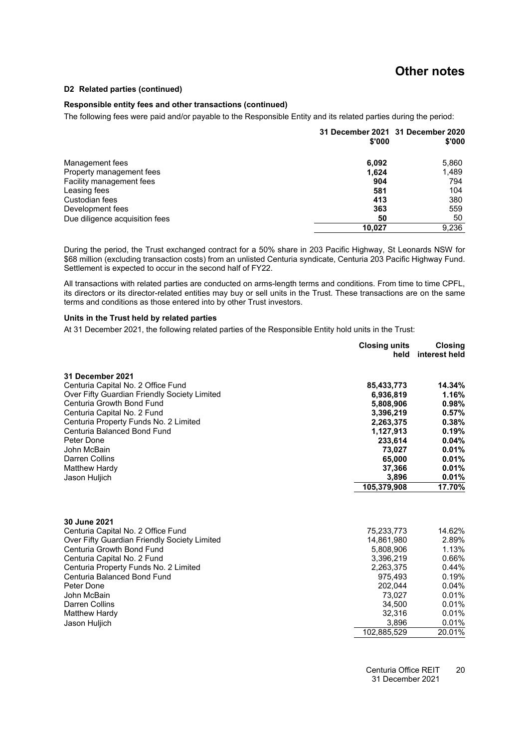### **Other notes**

#### **[D2](#page-20-2) Related parties (continued)**

### **Responsible entity fees and other transactions (continued)**

The following fees were paid and/or payable to the Responsible Entity and its related parties during the period:

|                                | \$'000 | 31 December 2021 31 December 2020<br>\$'000 |
|--------------------------------|--------|---------------------------------------------|
| Management fees                | 6,092  | 5,860                                       |
| Property management fees       | 1,624  | 1,489                                       |
| Facility management fees       | 904    | 794                                         |
| Leasing fees                   | 581    | 104                                         |
| Custodian fees                 | 413    | 380                                         |
| Development fees               | 363    | 559                                         |
| Due diligence acquisition fees | 50     | 50                                          |
|                                | 10.027 | 9.236                                       |

During the period, the Trust exchanged contract for a 50% share in 203 Pacific Highway, St Leonards NSW for \$68 million (excluding transaction costs) from an unlisted Centuria syndicate, Centuria 203 Pacific Highway Fund. Settlement is expected to occur in the second half of FY22.

All transactions with related parties are conducted on arms-length terms and conditions. From time to time CPFL, its directors or its director-related entities may buy or sell units in the Trust. These transactions are on the same terms and conditions as those entered into by other Trust investors.

### **Units in the Trust held by related parties**

At 31 December 2021, the following related parties of the Responsible Entity hold units in the Trust:

|                                              | <b>Closing units</b><br>held | <b>Closing</b><br>interest held |
|----------------------------------------------|------------------------------|---------------------------------|
| 31 December 2021                             |                              |                                 |
| Centuria Capital No. 2 Office Fund           | 85,433,773                   | 14.34%                          |
| Over Fifty Guardian Friendly Society Limited | 6,936,819                    | 1.16%                           |
| Centuria Growth Bond Fund                    | 5,808,906                    | 0.98%                           |
| Centuria Capital No. 2 Fund                  | 3,396,219                    | 0.57%                           |
| Centuria Property Funds No. 2 Limited        | 2,263,375                    | 0.38%                           |
| Centuria Balanced Bond Fund                  | 1,127,913                    | 0.19%                           |
| Peter Done                                   | 233,614                      | 0.04%                           |
| John McBain                                  | 73,027                       | 0.01%                           |
| Darren Collins                               | 65,000                       | 0.01%                           |
| Matthew Hardy                                | 37,366                       | 0.01%                           |
| Jason Huljich                                | 3,896                        | 0.01%                           |
|                                              | 105,379,908                  | 17.70%                          |
|                                              |                              |                                 |
| 30 June 2021                                 |                              |                                 |
| Centuria Capital No. 2 Office Fund           | 75,233,773                   | 14.62%                          |
| Over Fifty Guardian Friendly Society Limited | 14,861,980                   | 2.89%                           |
| Centuria Growth Bond Fund                    | 5.808.906                    | 1.13%                           |
| Centuria Capital No. 2 Fund                  | 3,396,219                    | 0.66%                           |
| Centuria Property Funds No. 2 Limited        | 2,263,375                    | 0.44%                           |
| Centuria Balanced Bond Fund                  | 975.493                      | 0.19%                           |
| Peter Done                                   | 202,044                      | 0.04%                           |
| John McBain                                  | 73,027                       | 0.01%                           |
| Darren Collins                               | 34,500                       | 0.01%                           |
| <b>Matthew Hardy</b>                         | 32,316                       | 0.01%                           |
| Jason Huljich                                | 3,896                        | 0.01%                           |
|                                              | 102,885,529                  | 20.01%                          |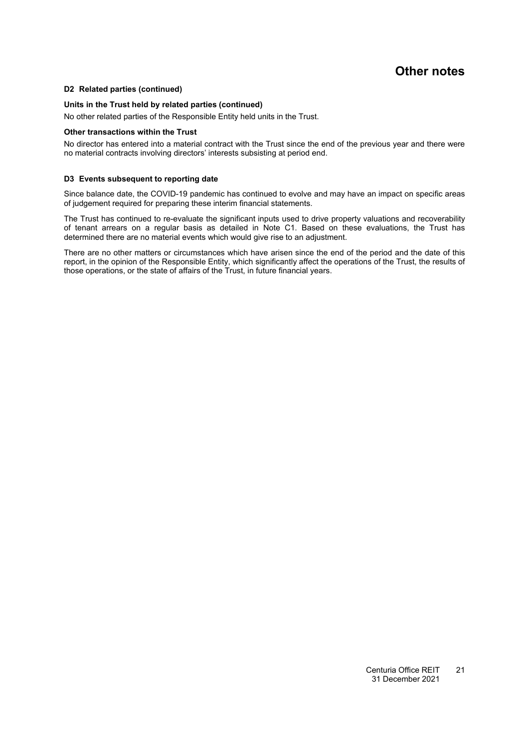### **Other notes**

### **[D2](#page-20-2) Related parties (continued)**

### **Units in the Trust held by related parties (continued)**

No other related parties of the Responsible Entity held units in the Trust.

### **Other transactions within the Trust**

<span id="page-22-0"></span>No director has entered into a material contract with the Trust since the end of the previous year and there were no material contracts involving directors' interests subsisting at period end.

### **[D3](#page-22-0) Events subsequent to reporting date**

Since balance date, the COVID-19 pandemic has continued to evolve and may have an impact on specific areas of judgement required for preparing these interim financial statements.

The Trust has continued to re-evaluate the significant inputs used to drive property valuations and recoverability of tenant arrears on a regular basis as detailed in Note [C1.](#page-12-0) Based on these evaluations, the Trust has determined there are no material events which would give rise to an adjustment.

There are no other matters or circumstances which have arisen since the end of the period and the date of this report, in the opinion of the Responsible Entity, which significantly affect the operations of the Trust, the results of those operations, or the state of affairs of the Trust, in future financial years.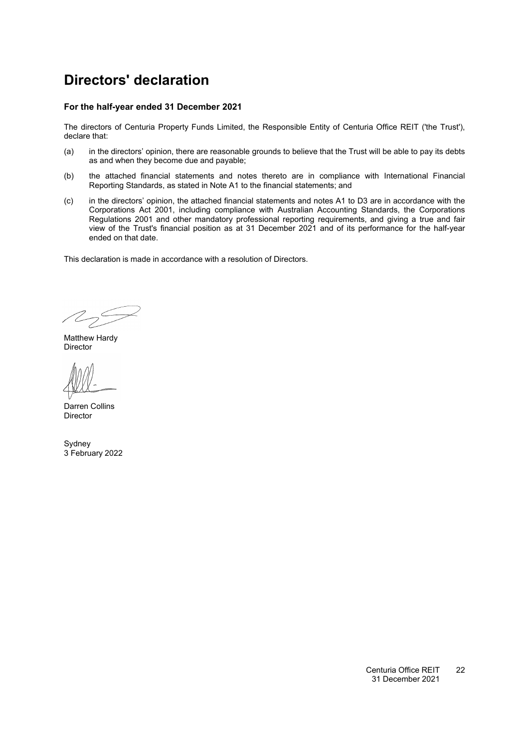### <span id="page-23-0"></span>**Directors' declaration**

### **For the half-year ended 31 December 2021**

The directors of Centuria Property Funds Limited, the Responsible Entity of Centuria Office REIT ('the Trust'), declare that:

- (a) in the directors' opinion, there are reasonable grounds to believe that the Trust will be able to pay its debts as and when they become due and payable;
- (b) the attached financial statements and notes thereto are in compliance with International Financial Reporting Standards, as stated in Note [A1](#page-12-2) to the financial statements; and
- (c) in the directors' opinion, the attached financial statements and notes [A1](#page-12-2) to D3 are in accordance with the Corporations Act 2001, including compliance with Australian Accounting Standards, the Corporations Regulations 2001 and other mandatory professional reporting requirements, and giving a true and fair view of the Trust's financial position as at 31 December 2021 and of its performance for the half-year ended on that date.

This declaration is made in accordance with a resolution of Directors.

 $\mathbb{Z}_{2}$ 

Matthew Hardy Director

Darren Collins Director

Sydney 3 February 2022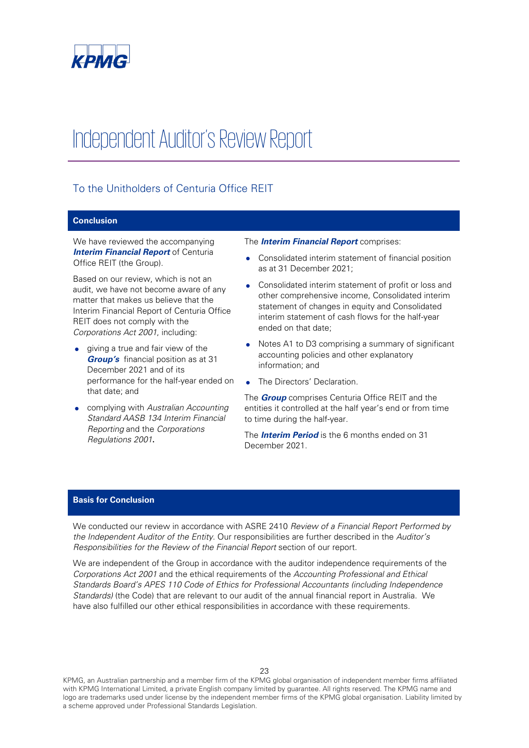

## Independent Auditor's Review Report

### To the Unitholders of Centuria Office REIT

### **Conclusion**

We have reviewed the accompanying **Interim Financial Report of Centuria** Office REIT (the Group).

Based on our review, which is not an audit, we have not become aware of any matter that makes us believe that the Interim Financial Report of Centuria Office REIT does not comply with the Corporations Act 2001, including:

- giving a true and fair view of the **Group's** financial position as at 31 December 2021 and of its performance for the half-year ended on that date; and
- complying with Australian Accounting Standard AASB 134 Interim Financial Reporting and the Corporations Regulations 2001**.**

### The **Interim Financial Report** comprises:

- Consolidated interim statement of financial position as at 31 December 2021;
- Consolidated interim statement of profit or loss and other comprehensive income, Consolidated interim statement of changes in equity and Consolidated interim statement of cash flows for the half-year ended on that date;
- Notes A1 to D3 comprising a summary of significant accounting policies and other explanatory information; and
- The Directors' Declaration.

The **Group** comprises Centuria Office REIT and the entities it controlled at the half year's end or from time to time during the half-year.

The **Interim Period** is the 6 months ended on 31 December 2021.

### **Basis for Conclusion**

We conducted our review in accordance with ASRE 2410 Review of a Financial Report Performed by the Independent Auditor of the Entity. Our responsibilities are further described in the Auditor's Responsibilities for the Review of the Financial Report section of our report.

We are independent of the Group in accordance with the auditor independence requirements of the Corporations Act 2001 and the ethical requirements of the Accounting Professional and Ethical Standards Board's APES 110 Code of Ethics for Professional Accountants (including Independence Standards) (the Code) that are relevant to our audit of the annual financial report in Australia. We have also fulfilled our other ethical responsibilities in accordance with these requirements.

KPMG, an Australian partnership and a member firm of the KPMG global organisation of independent member firms affiliated with KPMG International Limited, a private English company limited by guarantee. All rights reserved. The KPMG name and logo are trademarks used under license by the independent member firms of the KPMG global organisation. Liability limited by a scheme approved under Professional Standards Legislation.